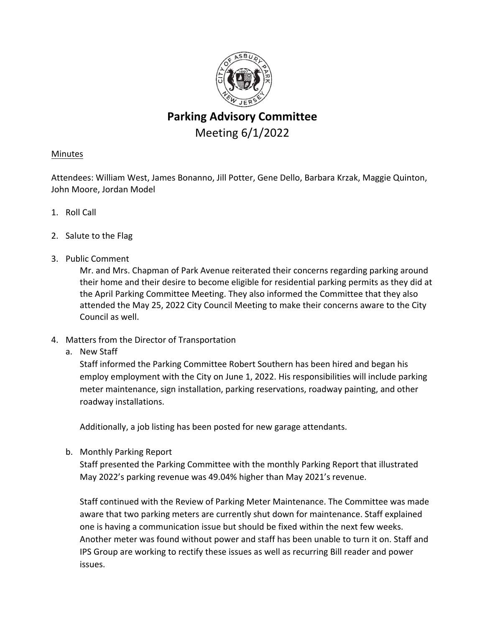

# **Parking Advisory Committee** Meeting 6/1/2022

# Minutes

Attendees: William West, James Bonanno, Jill Potter, Gene Dello, Barbara Krzak, Maggie Quinton, John Moore, Jordan Model

- 1. Roll Call
- 2. Salute to the Flag
- 3. Public Comment

Mr. and Mrs. Chapman of Park Avenue reiterated their concerns regarding parking around their home and their desire to become eligible for residential parking permits as they did at the April Parking Committee Meeting. They also informed the Committee that they also attended the May 25, 2022 City Council Meeting to make their concerns aware to the City Council as well.

- 4. Matters from the Director of Transportation
	- a. New Staff

Staff informed the Parking Committee Robert Southern has been hired and began his employ employment with the City on June 1, 2022. His responsibilities will include parking meter maintenance, sign installation, parking reservations, roadway painting, and other roadway installations.

Additionally, a job listing has been posted for new garage attendants.

b. Monthly Parking Report

Staff presented the Parking Committee with the monthly Parking Report that illustrated May 2022's parking revenue was 49.04% higher than May 2021's revenue.

Staff continued with the Review of Parking Meter Maintenance. The Committee was made aware that two parking meters are currently shut down for maintenance. Staff explained one is having a communication issue but should be fixed within the next few weeks. Another meter was found without power and staff has been unable to turn it on. Staff and IPS Group are working to rectify these issues as well as recurring Bill reader and power issues.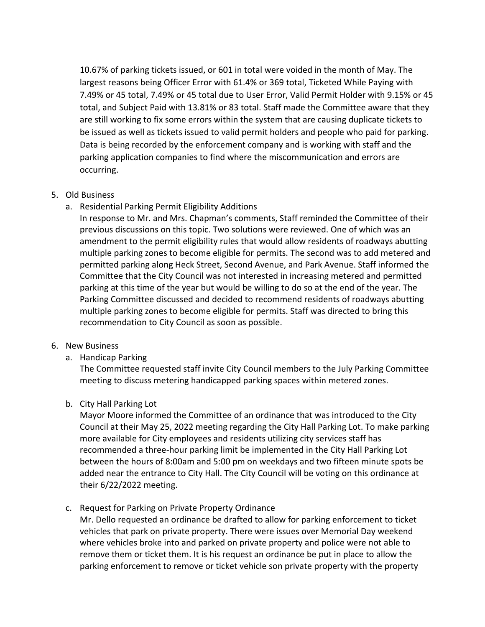10.67% of parking tickets issued, or 601 in total were voided in the month of May. The largest reasons being Officer Error with 61.4% or 369 total, Ticketed While Paying with 7.49% or 45 total, 7.49% or 45 total due to User Error, Valid Permit Holder with 9.15% or 45 total, and Subject Paid with 13.81% or 83 total. Staff made the Committee aware that they are still working to fix some errors within the system that are causing duplicate tickets to be issued as well as tickets issued to valid permit holders and people who paid for parking. Data is being recorded by the enforcement company and is working with staff and the parking application companies to find where the miscommunication and errors are occurring.

## 5. Old Business

a. Residential Parking Permit Eligibility Additions

In response to Mr. and Mrs. Chapman's comments, Staff reminded the Committee of their previous discussions on this topic. Two solutions were reviewed. One of which was an amendment to the permit eligibility rules that would allow residents of roadways abutting multiple parking zones to become eligible for permits. The second was to add metered and permitted parking along Heck Street, Second Avenue, and Park Avenue. Staff informed the Committee that the City Council was not interested in increasing metered and permitted parking at this time of the year but would be willing to do so at the end of the year. The Parking Committee discussed and decided to recommend residents of roadways abutting multiple parking zones to become eligible for permits. Staff was directed to bring this recommendation to City Council as soon as possible.

### 6. New Business

a. Handicap Parking

The Committee requested staff invite City Council members to the July Parking Committee meeting to discuss metering handicapped parking spaces within metered zones.

### b. City Hall Parking Lot

Mayor Moore informed the Committee of an ordinance that was introduced to the City Council at their May 25, 2022 meeting regarding the City Hall Parking Lot. To make parking more available for City employees and residents utilizing city services staff has recommended a three‐hour parking limit be implemented in the City Hall Parking Lot between the hours of 8:00am and 5:00 pm on weekdays and two fifteen minute spots be added near the entrance to City Hall. The City Council will be voting on this ordinance at their 6/22/2022 meeting.

c. Request for Parking on Private Property Ordinance

Mr. Dello requested an ordinance be drafted to allow for parking enforcement to ticket vehicles that park on private property. There were issues over Memorial Day weekend where vehicles broke into and parked on private property and police were not able to remove them or ticket them. It is his request an ordinance be put in place to allow the parking enforcement to remove or ticket vehicle son private property with the property